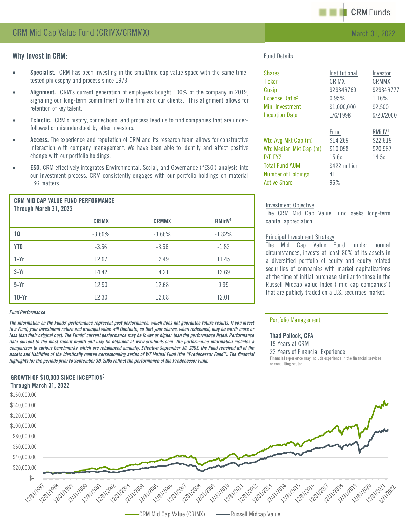

## Why Invest in CRM:

- Specialist. CRM has been investing in the small/mid cap value space with the same timetested philosophy and process since 1973.
- Alignment. CRM's current generation of employees bought 100% of the company in 2019, signaling our long-term commitment to the firm and our clients. This alignment allows for retention of key talent.
- **Eclectic.** CRM's history, connections, and process lead us to find companies that are underfollowed or misunderstood by other investors.
- Access. The experience and reputation of CRM and its research team allows for constructive interaction with company management. We have been able to identify and affect positive change with our portfolio holdings.
- **ESG.** CRM effectively integrates Environmental, Social, and Governance ("ESG") analysis into our investment process. CRM consistently engages with our portfolio holdings on material ESG matters.

| Through March 31, 2022 | <b>CRM MID CAP VALUE FUND PERFURMANCE</b> |              |                    |
|------------------------|-------------------------------------------|--------------|--------------------|
|                        | CRIMX                                     | <b>CRMMX</b> | RMidV <sup>1</sup> |
|                        | $-3.66%$                                  | $-3.66\%$    | $-1.82%$           |
|                        |                                           |              |                    |

CRAIN MID CAP VALUE FUUD PERFORMANCE

| <b>YTD</b> | $-3.66$ | $-3.66$ | $-1.82$ |
|------------|---------|---------|---------|
| $1-Yr$     | 12.67   | 12.49   | 11.45   |
| $3-Yr$     | 14.42   | 14.21   | 13.69   |
| $5-Yr$     | 12.90   | 12.68   | 9.99    |
| $10-Yr$    | 12.30   | 12.08   | 12.01   |

#### *Fund Performance*

The information on the Funds' performance represent past performance, which does not guarantee future results. If you invest in a Fund, your investment return and principal value will fluctuate, so that your shares, when redeemed, may be worth more or less than their original cost. The Funds' current performance may be lower or higher than the performance listed. Performance data current to the most recent month-end may be obtained at www.crmfunds.com. The performance information includes a comparison to various benchmarks, which are rebalanced annually. Effective September 30, 2005, the Fund received all of the assets and liabilities of the identically named corresponding series of WT Mutual Fund (the "Predecessor Fund"). The financial *highlightsfor the periods prior to September 30, 2005 reflect the performance of the Predecessor Fund.*

# GROWTH OF \$10,000 SINCE INCEPTION3

Fund Details

| <b>Shares</b>              | Institutional | Investor           |
|----------------------------|---------------|--------------------|
| <b>Ticker</b>              | CRIMX         | CRMMX              |
| Cusip                      | 92934R769     | 92934R777          |
| Expense Ratio <sup>2</sup> | 0.95%         | 1.16%              |
| Min. Investment            | \$1,000,000   | \$2,500            |
| <b>Inception Date</b>      | 1/6/1998      | 9/20/2000          |
|                            | Fund          | RMidV <sup>1</sup> |
| Wtd Avg Mkt Cap (m)        | \$14,269      | \$22,619           |
| Wtd Median Mkt Cap (m)     | \$10,058      | \$20,967           |
| P/F FY <sub>2</sub>        | 15.6x         | 14.5x              |
| <b>Total Fund AUM</b>      | \$422 million |                    |
| <b>Number of Holdings</b>  | 41            |                    |
| <b>Active Share</b>        | 96%           |                    |

### Investment Objective

The CRM Mid Cap Value Fund seeks long-term capital appreciation.

## Principal Investment Strategy

The Mid Cap Value Fund, under normal circumstances, invests at least 80% of its assets in a diversified portfolio of equity and equity related securities of companies with market capitalizations at the time of initial purchase similar to those in the Russell Midcap Value Index ("mid cap companies") that are publicly traded on a U.S. securities market.

## Portfolio Management

Thad Pollock, CFA 19 Years at CRM 22 Years of Financial Experience Financial experience may include experience in the financial services or consulting sector.



CRM Mid Cap Value (CRIMX) **CRU** Russell Midcap Value